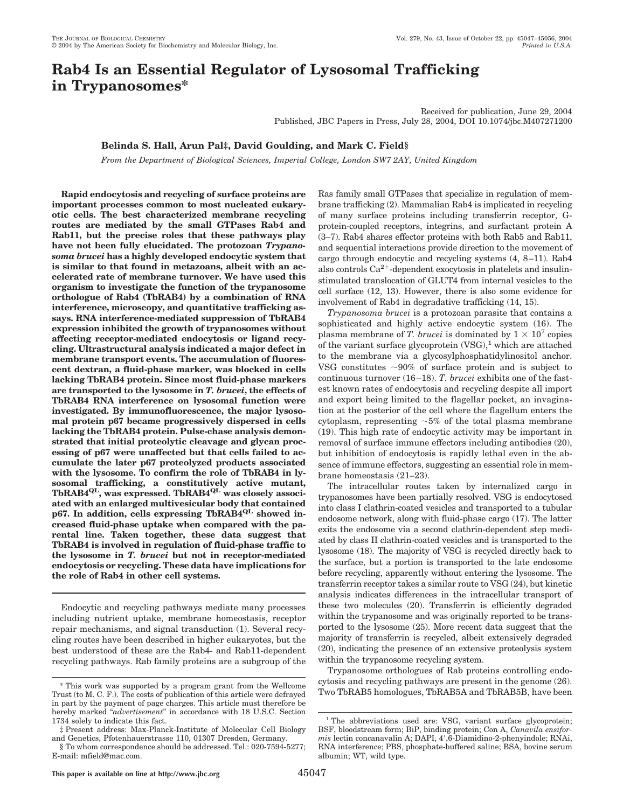# **Rab4 Is an Essential Regulator of Lysosomal Trafficking in Trypanosomes\***

Received for publication, June 29, 2004 Published, JBC Papers in Press, July 28, 2004, DOI 10.1074/jbc.M407271200

## **Belinda S. Hall, Arun Pal‡, David Goulding, and Mark C. Field§**

*From the Department of Biological Sciences, Imperial College, London SW7 2AY, United Kingdom*

**Rapid endocytosis and recycling of surface proteins are important processes common to most nucleated eukaryotic cells. The best characterized membrane recycling routes are mediated by the small GTPases Rab4 and Rab11, but the precise roles that these pathways play have not been fully elucidated. The protozoan** *Trypanosoma brucei* **has a highly developed endocytic system that is similar to that found in metazoans, albeit with an accelerated rate of membrane turnover. We have used this organism to investigate the function of the trypanosome orthologue of Rab4 (TbRAB4) by a combination of RNA interference, microscopy, and quantitative trafficking assays. RNA interference-mediated suppression of TbRAB4 expression inhibited the growth of trypanosomes without affecting receptor-mediated endocytosis or ligand recycling. Ultrastructural analysis indicated a major defect in membrane transport events. The accumulation of fluorescent dextran, a fluid-phase marker, was blocked in cells lacking TbRAB4 protein. Since most fluid-phase markers are transported to the lysosome in** *T. brucei***, the effects of TbRAB4 RNA interference on lysosomal function were investigated. By immunofluorescence, the major lysosomal protein p67 became progressively dispersed in cells lacking the TbRAB4 protein. Pulse-chase analysis demonstrated that initial proteolytic cleavage and glycan processing of p67 were unaffected but that cells failed to accumulate the later p67 proteolyzed products associated with the lysosome. To confirm the role of TbRAB4 in lysosomal trafficking, a constitutively active mutant, TbRAB4QL, was expressed. TbRAB4QL was closely associated with an enlarged multivesicular body that contained** p67. In addition, cells expressing TbRAB4<sup>QL</sup> showed in**creased fluid-phase uptake when compared with the parental line. Taken together, these data suggest that TbRAB4 is involved in regulation of fluid-phase traffic to the lysosome in** *T. brucei* **but not in receptor-mediated endocytosis or recycling. These data have implications for the role of Rab4 in other cell systems.**

Endocytic and recycling pathways mediate many processes including nutrient uptake, membrane homeostasis, receptor repair mechanisms, and signal transduction (1). Several recycling routes have been described in higher eukaryotes, but the best understood of these are the Rab4- and Rab11-dependent recycling pathways. Rab family proteins are a subgroup of the Ras family small GTPases that specialize in regulation of membrane trafficking (2). Mammalian Rab4 is implicated in recycling of many surface proteins including transferrin receptor, Gprotein-coupled receptors, integrins, and surfactant protein A (3–7). Rab4 shares effector proteins with both Rab5 and Rab11, and sequential interactions provide direction to the movement of cargo through endocytic and recycling systems (4, 8–11). Rab4 also controls  $Ca^{2+}$ -dependent exocytosis in platelets and insulinstimulated translocation of GLUT4 from internal vesicles to the cell surface (12, 13). However, there is also some evidence for involvement of Rab4 in degradative trafficking (14, 15).

*Trypanosoma brucei* is a protozoan parasite that contains a sophisticated and highly active endocytic system (16). The plasma membrane of *T. brucei* is dominated by  $1 \times 10^7$  copies of the variant surface glycoprotein  $(VSG)$ ,<sup>1</sup> which are attached to the membrane via a glycosylphosphatidylinositol anchor. VSG constitutes  $\sim 90\%$  of surface protein and is subject to continuous turnover (16 –18). *T. brucei* exhibits one of the fastest known rates of endocytosis and recycling despite all import and export being limited to the flagellar pocket, an invagination at the posterior of the cell where the flagellum enters the cytoplasm, representing  $~5\%$  of the total plasma membrane (19). This high rate of endocytic activity may be important in removal of surface immune effectors including antibodies (20), but inhibition of endocytosis is rapidly lethal even in the absence of immune effectors, suggesting an essential role in membrane homeostasis (21–23).

The intracellular routes taken by internalized cargo in trypanosomes have been partially resolved. VSG is endocytosed into class I clathrin-coated vesicles and transported to a tubular endosome network, along with fluid-phase cargo (17). The latter exits the endosome via a second clathrin-dependent step mediated by class II clathrin-coated vesicles and is transported to the lysosome (18). The majority of VSG is recycled directly back to the surface, but a portion is transported to the late endosome before recycling, apparently without entering the lysosome. The transferrin receptor takes a similar route to VSG (24), but kinetic analysis indicates differences in the intracellular transport of these two molecules (20). Transferrin is efficiently degraded within the trypanosome and was originally reported to be transported to the lysosome (25). More recent data suggest that the majority of transferrin is recycled, albeit extensively degraded (20), indicating the presence of an extensive proteolysis system within the trypanosome recycling system.

Trypanosome orthologues of Rab proteins controlling endocytosis and recycling pathways are present in the genome (26). This work was supported by a program grant from the Wellcome<br>Two TbRAB5 homologues, TbRAB5A and TbRAB5B, have been<br>Two TbRAB5A and TbRAB5B, have been

Trust (to M. C. F.). The costs of publication of this article were defrayed in part by the payment of page charges. This article must therefore be hereby marked "*advertisement*" in accordance with 18 U.S.C. Section 1734 solely to indicate this fact.

<sup>‡</sup> Present address: Max-Planck-Institute of Molecular Cell Biology and Genetics, Pfotenhauerstrasse 110, 01307 Dresden, Germany.

<sup>§</sup> To whom correspondence should be addressed. Tel.: 020-7594-5277; E-mail: mfield@mac.com.

<sup>&</sup>lt;sup>1</sup> The abbreviations used are: VSG, variant surface glycoprotein; BSF, bloodstream form; BiP, binding protein; Con A, *Canavila ensiformis* lectin concanavalin A; DAPI, 4',6-Diamidino-2-phenyindole; RNAi, RNA interference; PBS, phosphate-buffered saline; BSA, bovine serum albumin; WT, wild type.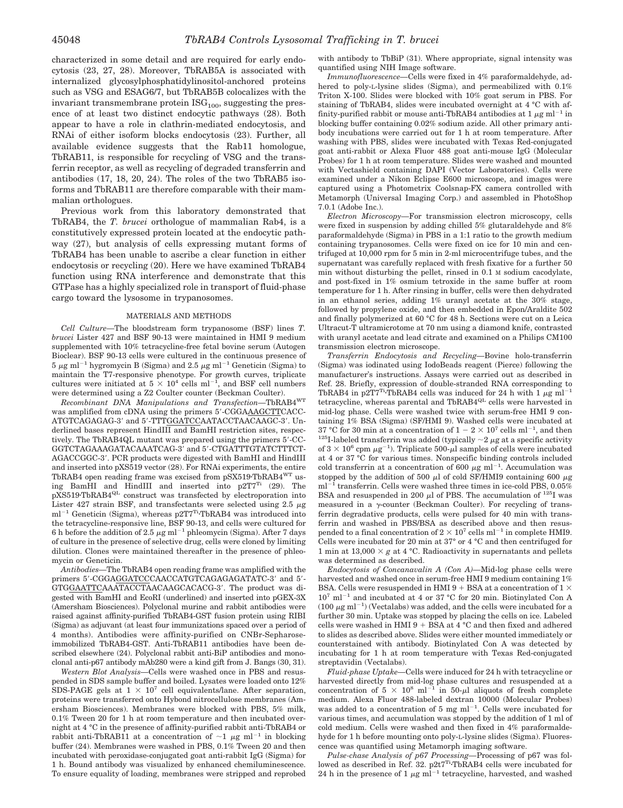characterized in some detail and are required for early endocytosis (23, 27, 28). Moreover, TbRAB5A is associated with internalized glycosylphosphatidylinositol-anchored proteins such as VSG and ESAG6/7, but TbRAB5B colocalizes with the invariant transmembrane protein  $\text{ISG}_{100}$ , suggesting the presence of at least two distinct endocytic pathways (28). Both appear to have a role in clathrin-mediated endocytosis, and RNAi of either isoform blocks endocytosis (23). Further, all available evidence suggests that the Rab11 homologue, TbRAB11, is responsible for recycling of VSG and the transferrin receptor, as well as recycling of degraded transferrin and antibodies (17, 18, 20, 24). The roles of the two TbRAB5 isoforms and TbRAB11 are therefore comparable with their mammalian orthologues.

Previous work from this laboratory demonstrated that TbRAB4, the *T. brucei* orthologue of mammalian Rab4, is a constitutively expressed protein located at the endocytic pathway (27), but analysis of cells expressing mutant forms of TbRAB4 has been unable to ascribe a clear function in either endocytosis or recycling (20). Here we have examined TbRAB4 function using RNA interference and demonstrate that this GTPase has a highly specialized role in transport of fluid-phase cargo toward the lysosome in trypanosomes.

#### MATERIALS AND METHODS

*Cell Culture—*The bloodstream form trypanosome (BSF) lines *T. brucei* Lister 427 and BSF 90-13 were maintained in HMI 9 medium supplemented with 10% tetracycline-free fetal bovine serum (Autogen Bioclear). BSF 90-13 cells were cultured in the continuous presence of  $5 \mu$ g ml<sup>-1</sup> hygromycin B (Sigma) and 2.5  $\mu$ g ml<sup>-1</sup> Geneticin (Sigma) to maintain the T7-responsive phenotype. For growth curves, triplicate cultures were initiated at  $5 \times 10^4$  cells ml<sup>-1</sup>, and BSF cell numbers were determined using a Z2 Coulter counter (Beckman Coulter).

*Recombinant DNA Manipulations and Transfection—*TbRAB4WT was amplified from cDNA using the primers 5'-CGGAAAGCTTCACC-ATGTCAGAGAG-3' and 5'-TTTGGATCCAATACCTAACAAGC-3'. Underlined bases represent HindIII and BamHI restriction sites, respectively. The TbRAB4QL mutant was prepared using the primers 5-CC-GGTCTAGAAAGATACAAATCAG-3' and 5'-CTGATTTGTATCTTTCT-AGACCGGC-3. PCR products were digested with BamHI and HindIII and inserted into pXS519 vector (28). For RNAi experiments, the entire TbRAB4 open reading frame was excised from pSX519TbRAB4WT using BamHI and HindIII and inserted into p2T7<sup>Ti</sup> (29). The pXS519TbRAB4QL construct was transfected by electroporation into Lister 427 strain BSF, and transfectants were selected using 2.5  $\mu$ g  $ml^{-1}$  Geneticin (Sigma), whereas p2T7<sup>Ti</sup>·TbRAB4 was introduced into the tetracycline-responsive line, BSF 90-13, and cells were cultured for 6 h before the addition of 2.5  $\mu$ g ml<sup>-1</sup> phleomycin (Sigma). After 7 days of culture in the presence of selective drug, cells were cloned by limiting dilution. Clones were maintained thereafter in the presence of phleomycin or Geneticin.

*Antibodies—*The TbRAB4 open reading frame was amplified with the primers 5'-CGGAGGATCCCAACCATGTCAGAGAGATATC-3' and 5'-GTGGAATTCAAATACCTAACAAGCACACG-3. The product was digested with BamHI and EcoRI (underlined) and inserted into pGEX-3X (Amersham Biosciences). Polyclonal murine and rabbit antibodies were raised against affinity-purified TbRAB4-GST fusion protein using RIBI (Sigma) as adjuvant (at least four immunizations spaced over a period of 4 months). Antibodies were affinity-purified on CNBr-Sepharoseimmobilized TbRAB4-GST. Anti-TbRAB11 antibodies have been described elsewhere (24). Polyclonal rabbit anti-BiP antibodies and monoclonal anti-p67 antibody mAb280 were a kind gift from J. Bangs (30, 31).

*Western Blot Analysis—*Cells were washed once in PBS and resuspended in SDS sample buffer and boiled. Lysates were loaded onto 12% SDS-PAGE gels at  $1 \times 10^7$  cell equivalents/lane. After separation, proteins were transferred onto Hybond nitrocellulose membranes (Amersham Biosciences). Membranes were blocked with PBS, 5% milk, 0.1% Tween 20 for 1 h at room temperature and then incubated overnight at 4 °C in the presence of affinity-purified rabbit anti-TbRAB4 or rabbit anti-TbRAB11 at a concentration of  $\sim$ 1  $\mu$ g ml<sup>-1</sup> in blocking buffer (24). Membranes were washed in PBS, 0.1% Tween 20 and then incubated with peroxidase-conjugated goat anti-rabbit IgG (Sigma) for 1 h. Bound antibody was visualized by enhanced chemiluminescence. To ensure equality of loading, membranes were stripped and reprobed

with antibody to TbBiP (31). Where appropriate, signal intensity was quantified using NIH Image software.

*Immunofluorescence—*Cells were fixed in 4% paraformaldehyde, adhered to poly-L-lysine slides (Sigma), and permeabilized with 0.1% Triton X-100. Slides were blocked with 10% goat serum in PBS. For staining of TbRAB4, slides were incubated overnight at 4 °C with affinity-purified rabbit or mouse anti-TbRAB4 antibodies at  $1 \mu g$  ml<sup>-1</sup> in blocking buffer containing 0.02% sodium azide. All other primary antibody incubations were carried out for 1 h at room temperature. After washing with PBS, slides were incubated with Texas Red-conjugated goat anti-rabbit or Alexa Fluor 488 goat anti-mouse IgG (Molecular Probes) for 1 h at room temperature. Slides were washed and mounted with Vectashield containing DAPI (Vector Laboratories). Cells were examined under a Nikon Eclipse E600 microscope, and images were captured using a Photometrix Coolsnap-FX camera controlled with Metamorph (Universal Imaging Corp.) and assembled in PhotoShop 7.0.1 (Adobe Inc.).

*Electron Microscopy—*For transmission electron microscopy, cells were fixed in suspension by adding chilled 5% glutaraldehyde and 8% paraformaldehyde (Sigma) in PBS in a 1:1 ratio to the growth medium containing trypanosomes. Cells were fixed on ice for 10 min and centrifuged at 10,000 rpm for 5 min in 2-ml microcentrifuge tubes, and the supernatant was carefully replaced with fresh fixative for a further 50 min without disturbing the pellet, rinsed in 0.1 M sodium cacodylate, and post-fixed in 1% osmium tetroxide in the same buffer at room temperature for 1 h. After rinsing in buffer, cells were then dehydrated in an ethanol series, adding 1% uranyl acetate at the 30% stage, followed by propylene oxide, and then embedded in Epon/Araldite 502 and finally polymerized at 60 °C for 48 h. Sections were cut on a Leica Ultracut-T ultramicrotome at 70 nm using a diamond knife, contrasted with uranyl acetate and lead citrate and examined on a Philips CM100 transmission electron microscope.

*Transferrin Endocytosis and Recycling—*Bovine holo-transferrin (Sigma) was iodinated using IodoBeads reagent (Pierce) following the manufacturer's instructions. Assays were carried out as described in Ref. 28. Briefly, expression of double-stranded RNA corresponding to TbRAB4 in p2T7<sup>Ti</sup>.TbRAB4 cells was induced for 24 h with 1  $\mu$ g ml<sup>-1</sup> tetracycline, whereas parental and TbRAB4<sup>QL</sup> cells were harvested in mid-log phase. Cells were washed twice with serum-free HMI 9 containing 1% BSA (Sigma) (SF/HMI 9). Washed cells were incubated at 37 °C for 30 min at a concentration of  $1 - 2 \times 10^7$  cells ml<sup>-1</sup>, and then <sup>125</sup>I-labeled transferrin was added (typically  $\sim$  2  $\mu$ g at a specific activity of  $3 \times 10^6$  cpm  $\mu$ g<sup>-1</sup>). Triplicate 500- $\mu$ l samples of cells were incubated at 4 or 37 °C for various times. Nonspecific binding controls included cold transferrin at a concentration of 600  $\mu$ g ml<sup>-1</sup>. Accumulation was stopped by the addition of 500  $\mu$ l of cold SF/HMI9 containing 600  $\mu$ g  $\text{m}$ <sup>-1</sup> transferrin. Cells were washed three times in ice-cold PBS, 0.05% BSA and resuspended in 200  $\mu$ l of PBS. The accumulation of <sup>125</sup>I was measured in a  $\gamma$ -counter (Beckman Coulter). For recycling of transferrin degradative products, cells were pulsed for 40 min with transferrin and washed in PBS/BSA as described above and then resuspended to a final concentration of  $2 \times 10^7$  cells ml<sup>-1</sup> in complete HMI9. Cells were incubated for 20 min at 37° or 4 °C and then centrifuged for 1 min at 13,000  $\times g$  at 4 °C. Radioactivity in supernatants and pellets was determined as described.

*Endocytosis of Concanavalin A (Con A)—*Mid-log phase cells were harvested and washed once in serum-free HMI 9 medium containing 1% BSA. Cells were resuspended in HMI 9 + BSA at a concentration of 1  $\times$  $10^7$  ml<sup>-1</sup> and incubated at 4 or 37 °C for 20 min. Biotinylated Con A  $(100 \ \mu g \text{ ml}^{-1})$  (Vectalabs) was added, and the cells were incubated for a further 30 min. Uptake was stopped by placing the cells on ice. Labeled cells were washed in HMI  $9 + BSA$  at  $4 °C$  and then fixed and adhered to slides as described above. Slides were either mounted immediately or counterstained with antibody. Biotinylated Con A was detected by incubating for 1 h at room temperature with Texas Red-conjugated streptavidin (Vectalabs).

*Fluid-phase Uptake—*Cells were induced for 24 h with tetracycline or harvested directly from mid-log phase cultures and resuspended at a concentration of  $5 \times 10^8$  ml<sup>-1</sup> in 50- $\mu$ l aliquots of fresh complete medium. Alexa Fluor 488-labeled dextran 10000 (Molecular Probes) was added to a concentration of 5 mg  $ml^{-1}$ . Cells were incubated for various times, and accumulation was stopped by the addition of 1 ml of cold medium. Cells were washed and then fixed in 4% paraformaldehyde for 1 h before mounting onto poly-L-lysine slides (Sigma). Fluorescence was quantified using Metamorph imaging software.

*Pulse-chase Analysis of p67 Processing—*Processing of p67 was followed as described in Ref. 32. p2t7<sup>Ti</sup>TbRAB4 cells were incubated for 24 h in the presence of 1  $\mu$ g m<sup>1-1</sup> tetracycline, harvested, and washed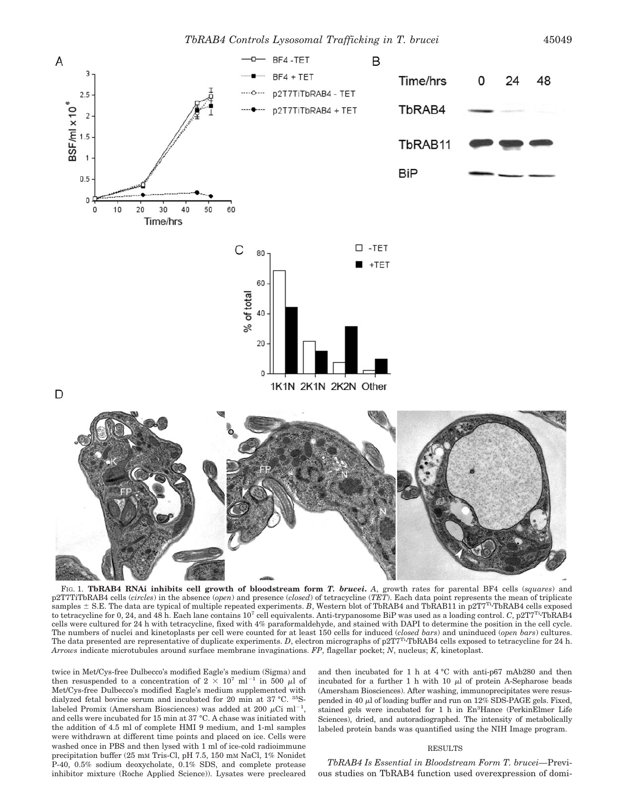

FIG. 1. **TbRAB4 RNAi inhibits cell growth of bloodstream form** *T. brucei***.** *A*, growth rates for parental BF4 cells (*squares*) and p2T7TiTbRAB4 cells (*circles*) in the absence (*open*) and presence (*closed*) of tetracycline (*TET*). Each data point represents the mean of triplicate samples  $\pm$  S.E. The data are typical of multiple repeated experiments. *B*, Western blot of TbRAB4 and TbRAB11 in p2T7<sup>Ti</sup> TbRAB4 cells exposed to tetracycline for 0, 24, and 48 h. Each lane contains 10<sup>7</sup> cell equivalents. Anti-trypanosome BiP was used as a loading control. *C*, p2T7<sup>Ti</sup>-TbRAB4 cells were cultured for 24 h with tetracycline, fixed with 4% paraformaldehyde, and stained with DAPI to determine the position in the cell cycle. The numbers of nuclei and kinetoplasts per cell were counted for at least 150 cells for induced (*closed bars*) and uninduced (*open bars*) cultures. The data presented are representative of duplicate experiments. *D*, electron micrographs of p2T7<sup>Ti</sup> TbRAB4 cells exposed to tetracycline for 24 h. *Arrows* indicate microtubules around surface membrane invaginations. *FP*, flagellar pocket; *N*, nucleus; *K*, kinetoplast.

twice in Met/Cys-free Dulbecco's modified Eagle's medium (Sigma) and then resuspended to a concentration of  $2 \times 10^7$  ml<sup>-1</sup> in 500  $\mu$ l of Met/Cys-free Dulbecco's modified Eagle's medium supplemented with dialyzed fetal bovine serum and incubated for 20 min at 37 °C. 35Slabeled Promix (Amersham Biosciences) was added at 200  $\mu$ Ci ml<sup>-1</sup>, and cells were incubated for 15 min at 37 °C. A chase was initiated with the addition of 4.5 ml of complete HMI 9 medium, and 1-ml samples were withdrawn at different time points and placed on ice. Cells were washed once in PBS and then lysed with 1 ml of ice-cold radioimmune precipitation buffer (25 mM Tris-Cl, pH 7.5, 150 mM NaCl, 1% Nonidet P-40, 0.5% sodium deoxycholate, 0.1% SDS, and complete protease inhibitor mixture (Roche Applied Science)). Lysates were precleared and then incubated for 1 h at 4 °C with anti-p67 mAb280 and then incubated for a further 1 h with 10  $\mu$ l of protein A-Sepharose beads (Amersham Biosciences). After washing, immunoprecipitates were resuspended in 40  $\mu$ l of loading buffer and run on 12% SDS-PAGE gels. Fixed, stained gels were incubated for 1 h in En<sup>3</sup>Hance (PerkinElmer Life Sciences), dried, and autoradiographed. The intensity of metabolically labeled protein bands was quantified using the NIH Image program.

### RESULTS

*TbRAB4 Is Essential in Bloodstream Form T. brucei—*Previous studies on TbRAB4 function used overexpression of domi-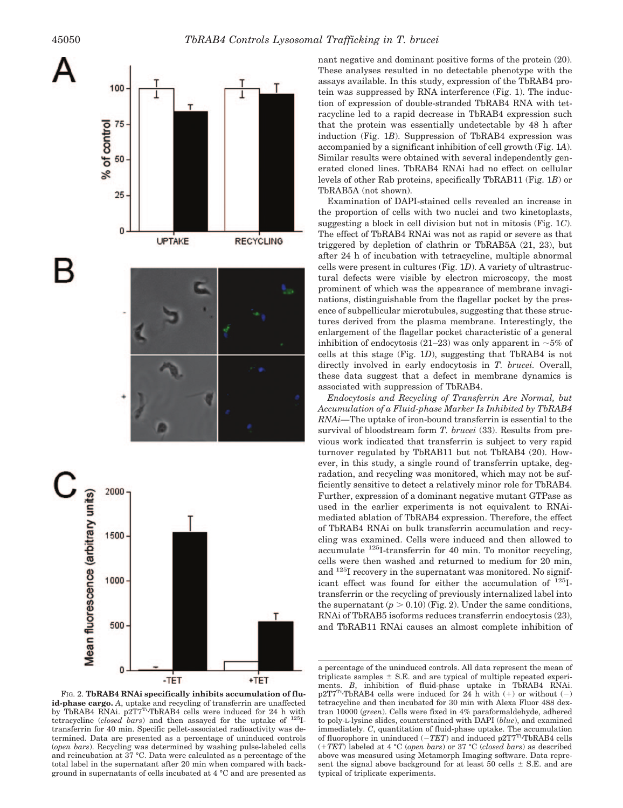

FIG. 2. **TbRAB4 RNAi specifically inhibits accumulation of fluid-phase cargo.** *A*, uptake and recycling of transferrin are unaffected by TbRAB4 RNAi. p2T7<sup>Ti</sup>-TbRAB4 cells were induced for 24 h with tetracycline (*closed bars*) and then assayed for the uptake of 125Itransferrin for 40 min. Specific pellet-associated radioactivity was determined. Data are presented as a percentage of uninduced controls (*open bars*). Recycling was determined by washing pulse-labeled cells and reincubation at 37 °C. Data were calculated as a percentage of the total label in the supernatant after 20 min when compared with background in supernatants of cells incubated at 4 °C and are presented as

nant negative and dominant positive forms of the protein (20). These analyses resulted in no detectable phenotype with the assays available. In this study, expression of the TbRAB4 protein was suppressed by RNA interference (Fig. 1). The induction of expression of double-stranded TbRAB4 RNA with tetracycline led to a rapid decrease in TbRAB4 expression such that the protein was essentially undetectable by 48 h after induction (Fig. 1*B*). Suppression of TbRAB4 expression was accompanied by a significant inhibition of cell growth (Fig. 1*A*). Similar results were obtained with several independently generated cloned lines. TbRAB4 RNAi had no effect on cellular levels of other Rab proteins, specifically TbRAB11 (Fig. 1*B*) or TbRAB5A (not shown).

Examination of DAPI-stained cells revealed an increase in the proportion of cells with two nuclei and two kinetoplasts, suggesting a block in cell division but not in mitosis (Fig. 1*C*). The effect of TbRAB4 RNAi was not as rapid or severe as that triggered by depletion of clathrin or TbRAB5A (21, 23), but after 24 h of incubation with tetracycline, multiple abnormal cells were present in cultures (Fig. 1*D*). A variety of ultrastructural defects were visible by electron microscopy, the most prominent of which was the appearance of membrane invaginations, distinguishable from the flagellar pocket by the presence of subpellicular microtubules, suggesting that these structures derived from the plasma membrane. Interestingly, the enlargement of the flagellar pocket characteristic of a general inhibition of endocytosis (21–23) was only apparent in  $\sim$ 5% of cells at this stage (Fig. 1*D*), suggesting that TbRAB4 is not directly involved in early endocytosis in *T. brucei.* Overall, these data suggest that a defect in membrane dynamics is associated with suppression of TbRAB4.

*Endocytosis and Recycling of Transferrin Are Normal, but Accumulation of a Fluid-phase Marker Is Inhibited by TbRAB4 RNAi—*The uptake of iron-bound transferrin is essential to the survival of bloodstream form *T. brucei* (33). Results from previous work indicated that transferrin is subject to very rapid turnover regulated by TbRAB11 but not TbRAB4 (20). However, in this study, a single round of transferrin uptake, degradation, and recycling was monitored, which may not be sufficiently sensitive to detect a relatively minor role for TbRAB4. Further, expression of a dominant negative mutant GTPase as used in the earlier experiments is not equivalent to RNAimediated ablation of TbRAB4 expression. Therefore, the effect of TbRAB4 RNAi on bulk transferrin accumulation and recycling was examined. Cells were induced and then allowed to accumulate 125I-transferrin for 40 min. To monitor recycling, cells were then washed and returned to medium for 20 min, and  $125$ I recovery in the supernatant was monitored. No significant effect was found for either the accumulation of 125Itransferrin or the recycling of previously internalized label into the supernatant  $(p > 0.10)$  (Fig. 2). Under the same conditions, RNAi of TbRAB5 isoforms reduces transferrin endocytosis (23), and TbRAB11 RNAi causes an almost complete inhibition of

a percentage of the uninduced controls. All data represent the mean of triplicate samples  $\pm$  S.E. and are typical of multiple repeated experiments. *B*, inhibition of fluid-phase uptake in TbRAB4 RNAi.  $p2TT^{Ti}$ TbRAB4 cells were induced for 24 h with (+) or without (-) tetracycline and then incubated for 30 min with Alexa Fluor 488 dextran 10000 (*green*). Cells were fixed in 4% paraformaldehyde, adhered to poly-L-lysine slides, counterstained with DAPI (*blue*), and examined immediately. *C*, quantitation of fluid-phase uptake. The accumulation of fluorophore in uninduced  $(-TET)$  and induced p2T7<sup>Ti</sup>·TbRAB4 cells (*TET*) labeled at 4 °C (*open bars*) or 37 °C (*closed bars*) as described above was measured using Metamorph Imaging software. Data represent the signal above background for at least 50 cells  $\pm$  S.E. and are typical of triplicate experiments.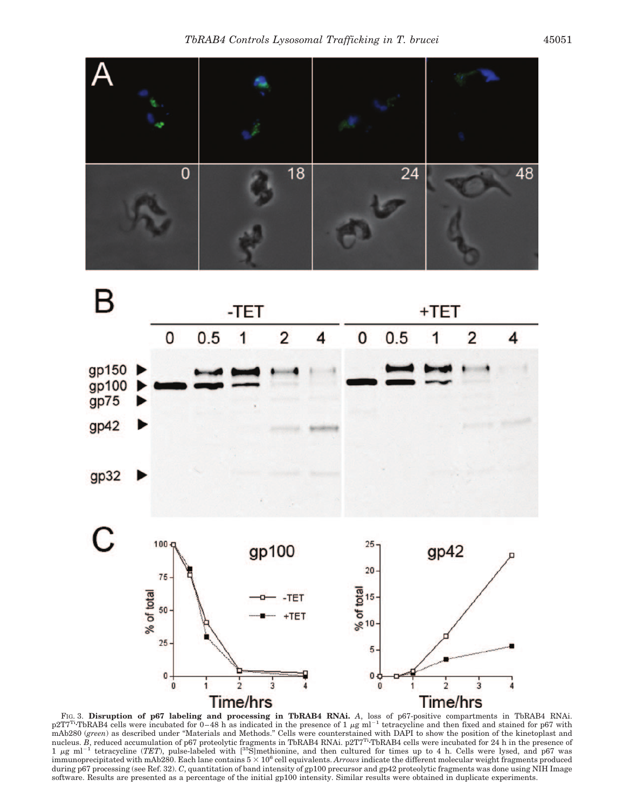



FIG. 3. **Disruption of p67 labeling and processing in TbRAB4 RNAi.** *A*, loss of p67-positive compartments in TbRAB4 RNAi.  $p2T7^{T}$  TbRAB4 cells were incubated for 0-48 h as indicated in the presence of 1  $\mu$ g ml<sup>-1</sup> tetracycline and then fixed and stained for p67 with mAb280 (*green*) as described under "Materials and Methods." Cells were counterstained with DAPI to show the position of the kinetoplast and nucleus. *B*, reduced accumulation of p67 proteolytic fragments in TbRAB4 RNAi. p2T7<sup>Ti</sup>-TbRAB4 cells were incubated for 24 h in the presence of 1 µg ml<sup>-1</sup> tetracycline (*TET*), pulse-labeled with [<sup>35</sup>S]methionine, and then cultured for times up to 4 h. Cells were lysed, and p67 was  $\text{immunoprecipitated with } \text{mAb280.}$  Each lane contains  $5 \times 10^6$  cell equivalents.  $\text{Arrows}$  indicate the different molecular weight fragments produced during p67 processing (see Ref. 32). *C*, quantitation of band intensity of gp100 precursor and gp42 proteolytic fragments was done using NIH Image software. Results are presented as a percentage of the initial gp100 intensity. Similar results were obtained in duplicate experiments.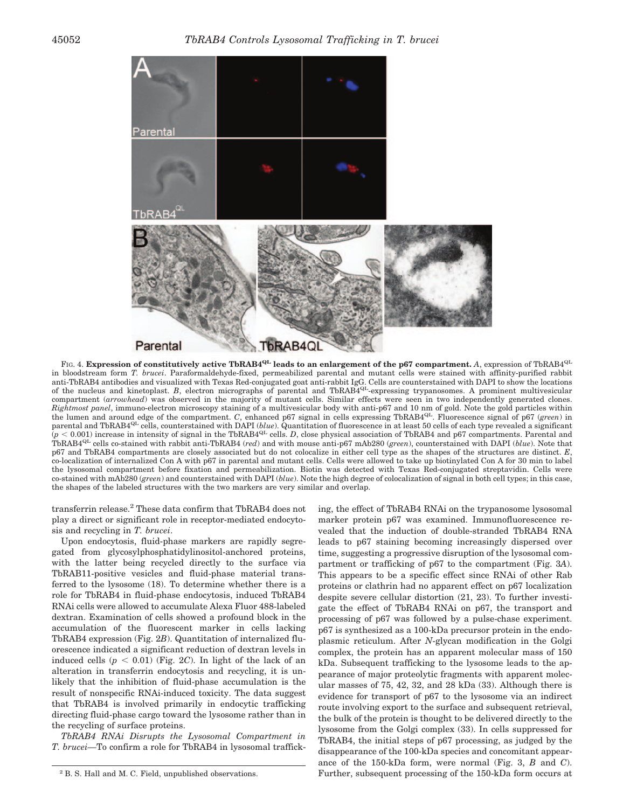

FIG. 4. **Expression of constitutively active TbRAB4QL leads to an enlargement of the p67 compartment.** *A*, expression of TbRAB4QL in bloodstream form *T. brucei*. Paraformaldehyde-fixed, permeabilized parental and mutant cells were stained with affinity-purified rabbit anti-TbRAB4 antibodies and visualized with Texas Red-conjugated goat anti-rabbit IgG. Cells are counterstained with DAPI to show the locations of the nucleus and kinetoplast. *B*, electron micrographs of parental and TbRAB4<sup>QL</sup>-expressing trypanosomes. A prominent multivesicular compartment (*arrowhead*) was observed in the majority of mutant cells. Similar effects were seen in two independently generated clones. *Rightmost panel*, immuno-electron microscopy staining of a multivesicular body with anti-p67 and 10 nm of gold. Note the gold particles within the lumen and around edge of the compartment. *C*, enhanced p67 signal in cells expressing TbRAB4QL. Fluorescence signal of p67 (*green*) in parental and TbRAB4<sup>QL</sup> cells, counterstained with DAPI (*blue*). Quantitation of fluorescence in at least 50 cells of each type revealed a significant  $\hat{p}$  < 0.001) increase in intensity of signal in the TbRAB4<sup>QL</sup> cells. *D*, close physical association of TbRAB4 and p67 compartments. Parental and TbRAB4QL cells co-stained with rabbit anti-TbRAB4 (*red*) and with mouse anti-p67 mAb280 (*green*), counterstained with DAPI (*blue*). Note that p67 and TbRAB4 compartments are closely associated but do not colocalize in either cell type as the shapes of the structures are distinct. *E*, co-localization of internalized Con A with p67 in parental and mutant cells. Cells were allowed to take up biotinylated Con A for 30 min to label the lysosomal compartment before fixation and permeabilization. Biotin was detected with Texas Red-conjugated streptavidin. Cells were co-stained with mAb280 (*green*) and counterstained with DAPI (*blue*). Note the high degree of colocalization of signal in both cell types; in this case, the shapes of the labeled structures with the two markers are very similar and overlap.

transferrin release.<sup>2</sup> These data confirm that TbRAB4 does not play a direct or significant role in receptor-mediated endocytosis and recycling in *T. brucei*.

Upon endocytosis, fluid-phase markers are rapidly segregated from glycosylphosphatidylinositol-anchored proteins, with the latter being recycled directly to the surface via TbRAB11-positive vesicles and fluid-phase material transferred to the lysosome (18). To determine whether there is a role for TbRAB4 in fluid-phase endocytosis, induced TbRAB4 RNAi cells were allowed to accumulate Alexa Fluor 488-labeled dextran. Examination of cells showed a profound block in the accumulation of the fluorescent marker in cells lacking TbRAB4 expression (Fig. 2*B*). Quantitation of internalized fluorescence indicated a significant reduction of dextran levels in induced cells  $(p < 0.01)$  (Fig. 2*C*). In light of the lack of an alteration in transferrin endocytosis and recycling, it is unlikely that the inhibition of fluid-phase accumulation is the result of nonspecific RNAi-induced toxicity. The data suggest that TbRAB4 is involved primarily in endocytic trafficking directing fluid-phase cargo toward the lysosome rather than in the recycling of surface proteins.

*TbRAB4 RNAi Disrupts the Lysosomal Compartment in T. brucei—*To confirm a role for TbRAB4 in lysosomal traffick-

ing, the effect of TbRAB4 RNAi on the trypanosome lysosomal marker protein p67 was examined. Immunofluorescence revealed that the induction of double-stranded TbRAB4 RNA leads to p67 staining becoming increasingly dispersed over time, suggesting a progressive disruption of the lysosomal compartment or trafficking of p67 to the compartment (Fig. 3*A*). This appears to be a specific effect since RNAi of other Rab proteins or clathrin had no apparent effect on p67 localization despite severe cellular distortion (21, 23). To further investigate the effect of TbRAB4 RNAi on p67, the transport and processing of p67 was followed by a pulse-chase experiment. p67 is synthesized as a 100-kDa precursor protein in the endoplasmic reticulum. After *N*-glycan modification in the Golgi complex, the protein has an apparent molecular mass of 150 kDa. Subsequent trafficking to the lysosome leads to the appearance of major proteolytic fragments with apparent molecular masses of 75, 42, 32, and 28 kDa (33). Although there is evidence for transport of p67 to the lysosome via an indirect route involving export to the surface and subsequent retrieval, the bulk of the protein is thought to be delivered directly to the lysosome from the Golgi complex (33). In cells suppressed for TbRAB4, the initial steps of p67 processing, as judged by the disappearance of the 100-kDa species and concomitant appearance of the 150-kDa form, were normal (Fig. 3, *B* and *C*). <sup>2</sup> B. S. Hall and M. C. Field, unpublished observations. Turther, subsequent processing of the 150-kDa form occurs at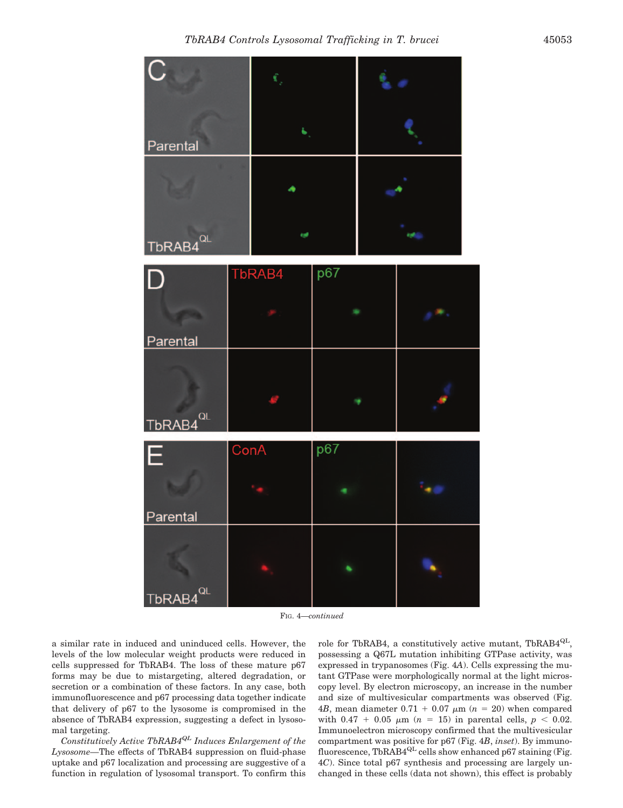

FIG. 4—*continued*

a similar rate in induced and uninduced cells. However, the levels of the low molecular weight products were reduced in cells suppressed for TbRAB4. The loss of these mature p67 forms may be due to mistargeting, altered degradation, or secretion or a combination of these factors. In any case, both immunofluorescence and p67 processing data together indicate that delivery of p67 to the lysosome is compromised in the absence of TbRAB4 expression, suggesting a defect in lysosomal targeting.

*Constitutively Active TbRAB4QL Induces Enlargement of the Lysosome—*The effects of TbRAB4 suppression on fluid-phase uptake and p67 localization and processing are suggestive of a function in regulation of lysosomal transport. To confirm this role for TbRAB4, a constitutively active mutant, TbRAB4<sup>QL</sup>, possessing a Q67L mutation inhibiting GTPase activity, was expressed in trypanosomes (Fig. 4*A*). Cells expressing the mutant GTPase were morphologically normal at the light microscopy level. By electron microscopy, an increase in the number and size of multivesicular compartments was observed (Fig. 4*B*, mean diameter  $0.71 + 0.07 \mu m$  ( $n = 20$ ) when compared with  $0.47 + 0.05 \mu m$  (*n* = 15) in parental cells, *p* < 0.02. Immunoelectron microscopy confirmed that the multivesicular compartment was positive for p67 (Fig. 4*B*, *inset*). By immunofluorescence, TbRAB4 $^{QL}$  cells show enhanced p67 staining (Fig. 4*C*). Since total p67 synthesis and processing are largely unchanged in these cells (data not shown), this effect is probably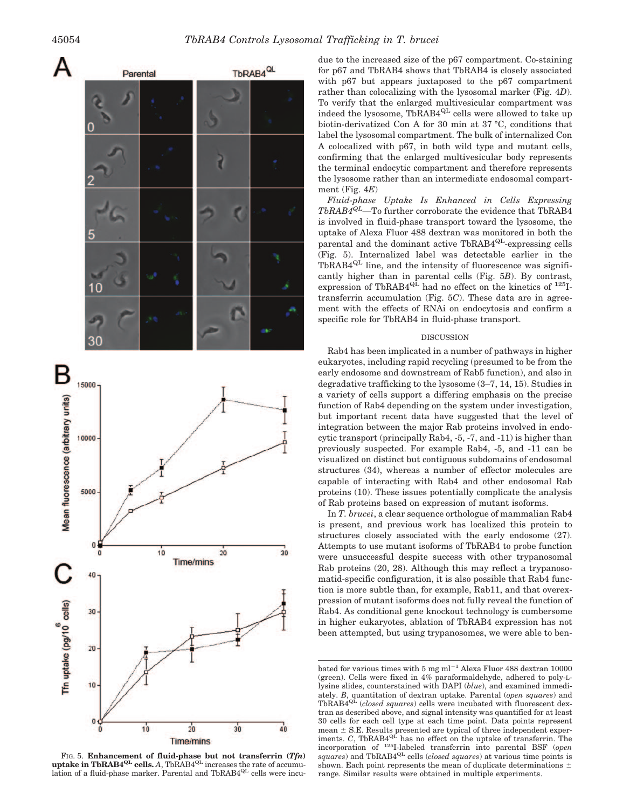

20 30 **Time/mins** 

Tfn uptake (pg/10 cells) 20  $10$ 0  $\dot{20}$ 10 30 40 **Time/mins** 

 $10$ 

40

30

FIG. 5. **Enhancement of fluid-phase but not transferrin**  $(Tf n)$  **uptake in TbRAB4<sup>QL</sup> cells.** *A***, TbRAB4<sup>QL</sup> increases the rate of accumu**lation of a fluid-phase marker. Parental and TbRAB4<sup>QL</sup> cells were incu-

due to the increased size of the p67 compartment. Co-staining for p67 and TbRAB4 shows that TbRAB4 is closely associated with p67 but appears juxtaposed to the p67 compartment rather than colocalizing with the lysosomal marker (Fig. 4*D*). To verify that the enlarged multivesicular compartment was indeed the lysosome, TbRAB4<sup>QL</sup> cells were allowed to take up biotin-derivatized Con A for 30 min at 37 °C, conditions that label the lysosomal compartment. The bulk of internalized Con A colocalized with p67, in both wild type and mutant cells, confirming that the enlarged multivesicular body represents the terminal endocytic compartment and therefore represents the lysosome rather than an intermediate endosomal compartment (Fig. 4*E*)

*Fluid-phase Uptake Is Enhanced in Cells Expressing TbRAB4QL—*To further corroborate the evidence that TbRAB4 is involved in fluid-phase transport toward the lysosome, the uptake of Alexa Fluor 488 dextran was monitored in both the parental and the dominant active TbRAB4<sup>QL</sup>-expressing cells (Fig. 5). Internalized label was detectable earlier in the  $TbRAB4^{\text{QL}}$  line, and the intensity of fluorescence was significantly higher than in parental cells (Fig. 5*B*). By contrast, expression of TbRAB4 $^{Q\bar{L}}$  had no effect on the kinetics of  $^{125}I$ transferrin accumulation (Fig. 5*C*). These data are in agreement with the effects of RNAi on endocytosis and confirm a specific role for TbRAB4 in fluid-phase transport.

## DISCUSSION

Rab4 has been implicated in a number of pathways in higher eukaryotes, including rapid recycling (presumed to be from the early endosome and downstream of Rab5 function), and also in degradative trafficking to the lysosome (3–7, 14, 15). Studies in a variety of cells support a differing emphasis on the precise function of Rab4 depending on the system under investigation, but important recent data have suggested that the level of integration between the major Rab proteins involved in endocytic transport (principally Rab4, -5, -7, and -11) is higher than previously suspected. For example Rab4, -5, and -11 can be visualized on distinct but contiguous subdomains of endosomal structures (34), whereas a number of effector molecules are capable of interacting with Rab4 and other endosomal Rab proteins (10). These issues potentially complicate the analysis of Rab proteins based on expression of mutant isoforms.

In *T. brucei*, a clear sequence orthologue of mammalian Rab4 is present, and previous work has localized this protein to structures closely associated with the early endosome (27). Attempts to use mutant isoforms of TbRAB4 to probe function were unsuccessful despite success with other trypanosomal Rab proteins (20, 28). Although this may reflect a trypanosomatid-specific configuration, it is also possible that Rab4 function is more subtle than, for example, Rab11, and that overexpression of mutant isoforms does not fully reveal the function of Rab4. As conditional gene knockout technology is cumbersome in higher eukaryotes, ablation of TbRAB4 expression has not been attempted, but using trypanosomes, we were able to ben-

bated for various times with 5 mg ml<sup>-1</sup> Alexa Fluor 488 dextran 10000 (green). Cells were fixed in 4% paraformaldehyde, adhered to poly-Llysine slides, counterstained with DAPI (*blue*), and examined immediately. *B*, quantitation of dextran uptake. Parental (*open squares*) and TbRAB4<sup>QL</sup> (*closed squares*) cells were incubated with fluorescent dextran as described above, and signal intensity was quantified for at least 30 cells for each cell type at each time point. Data points represent mean  $\pm$  S.E. Results presented are typical of three independent exper-<br>iments. *C*, TbRAB4<sup>QL</sup> has no effect on the uptake of transferrin. The incorporation of 125I-labeled transferrin into parental BSF (*open squares*) and TbRAB4QL cells (*closed squares*) at various time points is shown. Each point represents the mean of duplicate determinations  $\pm$ range. Similar results were obtained in multiple experiments.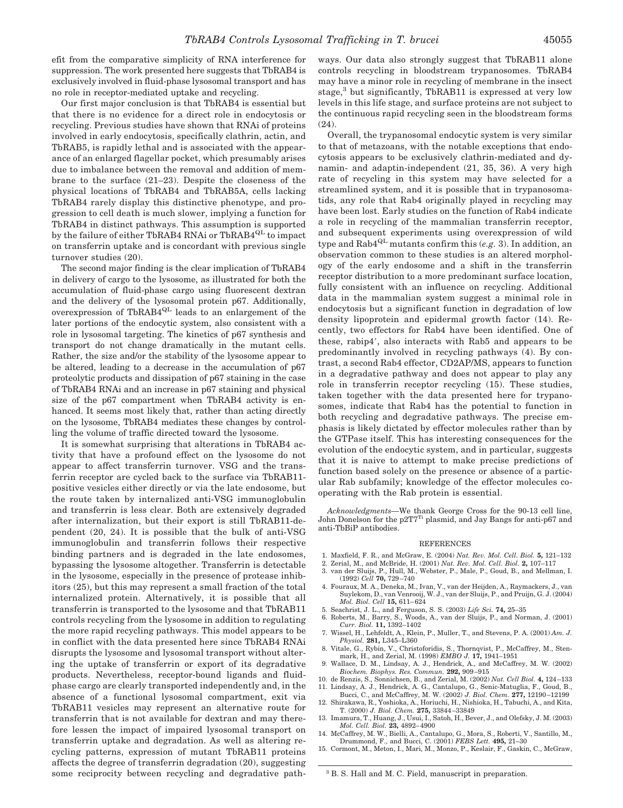efit from the comparative simplicity of RNA interference for suppression. The work presented here suggests that TbRAB4 is exclusively involved in fluid-phase lysosomal transport and has no role in receptor-mediated uptake and recycling.

Our first major conclusion is that TbRAB4 is essential but that there is no evidence for a direct role in endocytosis or recycling. Previous studies have shown that RNAi of proteins involved in early endocytosis, specifically clathrin, actin, and TbRAB5, is rapidly lethal and is associated with the appearance of an enlarged flagellar pocket, which presumably arises due to imbalance between the removal and addition of membrane to the surface (21–23). Despite the closeness of the physical locations of TbRAB4 and TbRAB5A, cells lacking TbRAB4 rarely display this distinctive phenotype, and progression to cell death is much slower, implying a function for TbRAB4 in distinct pathways. This assumption is supported by the failure of either TbRAB4 RNAi or TbRAB4<sup>QL</sup> to impact on transferrin uptake and is concordant with previous single turnover studies (20).

The second major finding is the clear implication of TbRAB4 in delivery of cargo to the lysosome, as illustrated for both the accumulation of fluid-phase cargo using fluorescent dextran and the delivery of the lysosomal protein p67. Additionally, overexpression of TbRAB4<sup>QL</sup> leads to an enlargement of the later portions of the endocytic system, also consistent with a role in lysosomal targeting. The kinetics of p67 synthesis and transport do not change dramatically in the mutant cells. Rather, the size and/or the stability of the lysosome appear to be altered, leading to a decrease in the accumulation of p67 proteolytic products and dissipation of p67 staining in the case of TbRAB4 RNAi and an increase in p67 staining and physical size of the p67 compartment when TbRAB4 activity is enhanced. It seems most likely that, rather than acting directly on the lysosome, TbRAB4 mediates these changes by controlling the volume of traffic directed toward the lysosome.

It is somewhat surprising that alterations in TbRAB4 activity that have a profound effect on the lysosome do not appear to affect transferrin turnover. VSG and the transferrin receptor are cycled back to the surface via TbRAB11 positive vesicles either directly or via the late endosome, but the route taken by internalized anti-VSG immunoglobulin and transferrin is less clear. Both are extensively degraded after internalization, but their export is still TbRAB11-dependent (20, 24). It is possible that the bulk of anti-VSG immunoglobulin and transferrin follows their respective binding partners and is degraded in the late endosomes, bypassing the lysosome altogether. Transferrin is detectable in the lysosome, especially in the presence of protease inhibitors (25), but this may represent a small fraction of the total internalized protein. Alternatively, it is possible that all transferrin is transported to the lysosome and that TbRAB11 controls recycling from the lysosome in addition to regulating the more rapid recycling pathways. This model appears to be in conflict with the data presented here since TbRAB4 RNAi disrupts the lysosome and lysosomal transport without altering the uptake of transferrin or export of its degradative products. Nevertheless, receptor-bound ligands and fluidphase cargo are clearly transported independently and, in the absence of a functional lysosomal compartment, exit via TbRAB11 vesicles may represent an alternative route for transferrin that is not available for dextran and may therefore lessen the impact of impaired lysosomal transport on transferrin uptake and degradation. As well as altering recycling patterns, expression of mutant TbRAB11 proteins affects the degree of transferrin degradation (20), suggesting some reciprocity between recycling and degradative path-

ways. Our data also strongly suggest that TbRAB11 alone controls recycling in bloodstream trypanosomes. TbRAB4 may have a minor role in recycling of membrane in the insect stage,<sup>3</sup> but significantly, TbRAB11 is expressed at very low levels in this life stage, and surface proteins are not subject to the continuous rapid recycling seen in the bloodstream forms (24).

Overall, the trypanosomal endocytic system is very similar to that of metazoans, with the notable exceptions that endocytosis appears to be exclusively clathrin-mediated and dynamin- and adaptin-independent (21, 35, 36). A very high rate of recycling in this system may have selected for a streamlined system, and it is possible that in trypanosomatids, any role that Rab4 originally played in recycling may have been lost. Early studies on the function of Rab4 indicate a role in recycling of the mammalian transferrin receptor, and subsequent experiments using overexpression of wild type and Rab4QL mutants confirm this (*e.g.* 3). In addition, an observation common to these studies is an altered morphology of the early endosome and a shift in the transferrin receptor distribution to a more predominant surface location, fully consistent with an influence on recycling. Additional data in the mammalian system suggest a minimal role in endocytosis but a significant function in degradation of low density lipoprotein and epidermal growth factor (14). Recently, two effectors for Rab4 have been identified. One of these, rabip4, also interacts with Rab5 and appears to be predominantly involved in recycling pathways (4). By contrast, a second Rab4 effector, CD2AP/MS, appears to function in a degradative pathway and does not appear to play any role in transferrin receptor recycling (15). These studies, taken together with the data presented here for trypanosomes, indicate that Rab4 has the potential to function in both recycling and degradative pathways. The precise emphasis is likely dictated by effector molecules rather than by the GTPase itself. This has interesting consequences for the evolution of the endocytic system, and in particular, suggests that it is naive to attempt to make precise predictions of function based solely on the presence or absence of a particular Rab subfamily; knowledge of the effector molecules cooperating with the Rab protein is essential.

*Acknowledgments—*We thank George Cross for the 90-13 cell line, John Donelson for the p2T7<sup>Ti</sup> plasmid, and Jay Bangs for anti-p67 and anti-TbBiP antibodies.

#### REFERENCES

- 1. Maxfield, F. R., and McGraw, E. (2004) *Nat. Rev. Mol. Cell. Biol.* **5,** 121–132
- 2. Zerial, M., and McBride, H. (2001) *Nat. Rev. Mol. Cell. Biol.* **2,** 107–117
- 3. van der Sluijs, P., Hull, M., Webster, P., Male, P., Goud, B., and Mellman, I. (1992) *Cell* **70,** 729 –740
- 4. Fouraux, M. A., Deneka, M., Ivan, V., van der Heijden, A., Raymackers, J., van Suylekom, D., van Venrooij, W. J., van der Sluijs, P., and Pruijn, G. J. (2004) *Mol. Biol. Cell* **15,** 611– 624
- 5. Seachrist, J. L., and Ferguson, S. S. (2003) *Life Sci.* **74,** 25–35
- 6. Roberts, M., Barry, S., Woods, A., van der Sluijs, P., and Norman, J. (2001) *Curr. Biol.* **11,** 1392–1402
- 7. Wissel, H., Lehfeldt, A., Klein, P., Muller, T., and Stevens, P. A. (2001) *Am. J. Physiol.* **281,** L345–L360
- 8. Vitale, G., Rybin, V., Christoforidis, S., Thornqvist, P., McCaffrey, M., Stenmark, H., and Zerial, M. (1998) *EMBO J.* **17,** 1941–1951
- 9. Wallace, D. M., Lindsay, A. J., Hendrick, A., and McCaffrey, M. W. (2002) *Biochem. Biophys. Res. Commun.* **292,** 909 –915
- 10. de Renzis, S., Sonnichsen, B., and Zerial, M. (2002) *Nat. Cell Biol.* **4,** 124 –133 11. Lindsay, A. J., Hendrick, A. G., Cantalupo, G., Senic-Matuglia, F., Goud, B.,
- Bucci, C., and McCaffrey, M. W. (2002) *J. Biol. Chem.* **277,** 12190 –12199 12. Shirakawa, R., Yoshioka, A., Horiuchi, H., Nishioka, H., Tabuchi, A., and Kita,
- T. (2000) *J. Biol. Chem.* **275,** 33844 –33849 13. Imamura, T., Huang, J., Usui, I., Satoh, H., Bever, J., and Olefsky, J. M. (2003) *Mol. Cell. Biol.* **23,** 4892– 4900
- 14. McCaffrey, M. W., Bielli, A., Cantalupo, G., Mora, S., Roberti, V., Santillo, M., Drummond, F., and Bucci, C. (2001) *FEBS Lett.* **495,** 21–30
- 15. Cormont, M., Meton, I., Mari, M., Monzo, P., Keslair, F., Gaskin, C., McGraw,

<sup>3</sup> B. S. Hall and M. C. Field, manuscript in preparation.